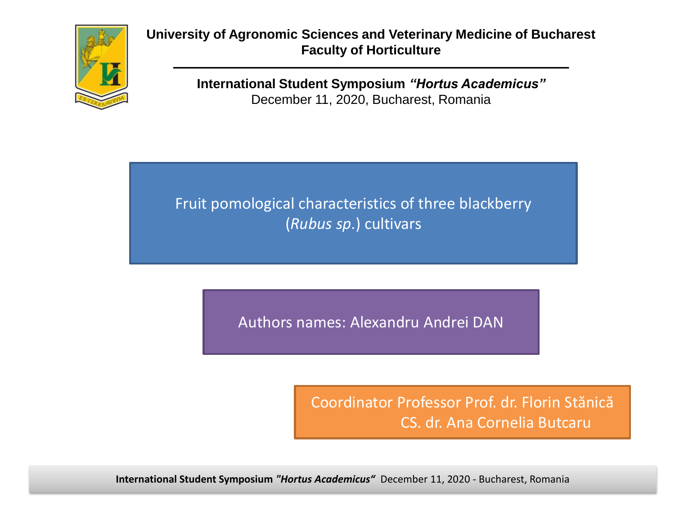

**University of Agronomic Sciences and Veterinary Medicine of Bucharest Faculty of Horticulture**

> **International Student Symposium** *"Hortus Academicus"* December 11, 2020, Bucharest, Romania

Fruit pomological characteristics of three blackberry (*Rubus sp*.) cultivars

Authors names: Alexandru Andrei DAN

Coordinator Professor Prof. dr. Florin Stănică CS. dr. Ana Cornelia Butcaru

**International Student Symposium** *"Hortus Academicus"* December 11, 2020 - Bucharest, Romania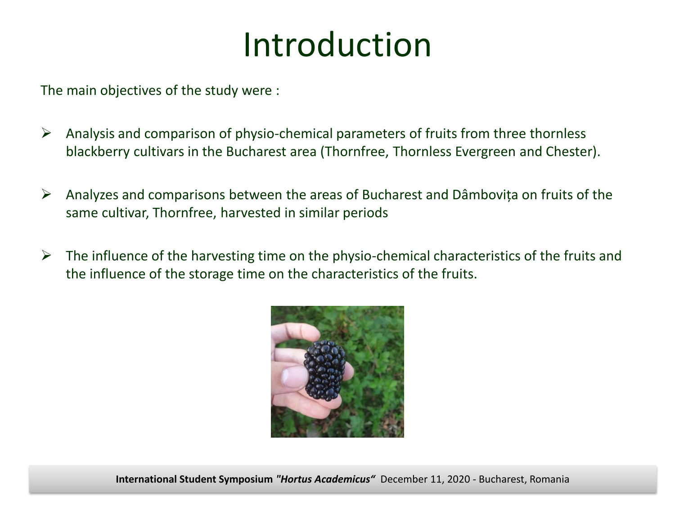# Introduction

The main objectives of the study were :

- $\triangleright$  Analysis and comparison of physio-chemical parameters of fruits from three thornless blackberry cultivars in the Bucharest area (Thornfree, Thornless Evergreen and Chester).
- $\triangleright$  Analyzes and comparisons between the areas of Bucharest and Dâmbovița on fruits of the same cultivar, Thornfree, harvested in similar periods
- $\triangleright$  The influence of the harvesting time on the physio-chemical characteristics of the fruits and the influence of the storage time on the characteristics of the fruits.

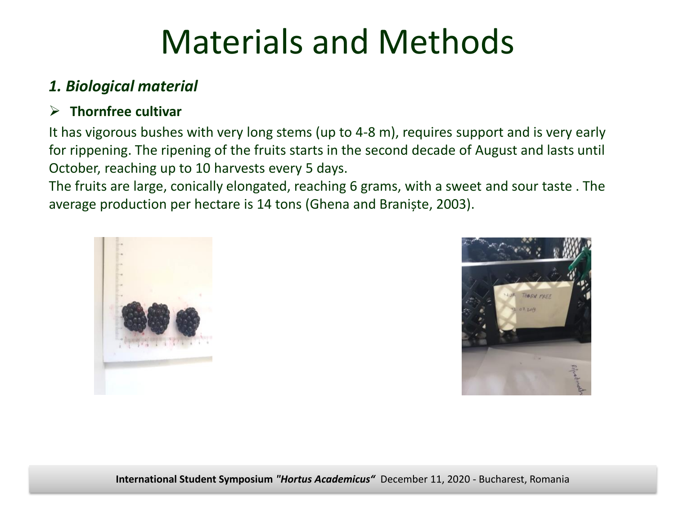### *1. Biological material*

### **Thornfree cultivar**

It has vigorous bushes with very long stems (up to 4-8 m), requires support and is very early for rippening. The ripening of the fruits starts in the second decade of August and lasts until October, reaching up to 10 harvests every 5 days.

The fruits are large, conically elongated, reaching 6 grams, with a sweet and sour taste . The average production per hectare is 14 tons (Ghena and Braniște, 2003).



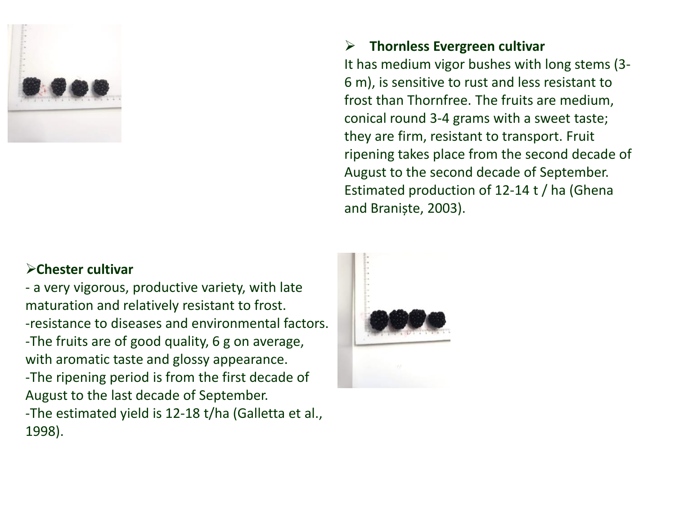

#### **Chester cultivar**

- a very vigorous, productive variety, with late maturation and relatively resistant to frost. -resistance to diseases and environmental factors. -The fruits are of good quality, 6 g on average, with aromatic taste and glossy appearance. -The ripening period is from the first decade of August to the last decade of September. -The estimated yield is 12-18 t/ha (Galletta et al., 1998).

#### **Thornless Evergreen cultivar**

It has medium vigor bushes with long stems (3- 6 m), is sensitive to rust and less resistant to frost than Thornfree. The fruits are medium, conical round 3-4 grams with a sweet taste; they are firm, resistant to transport. Fruit ripening takes place from the second decade of August to the second decade of September. Estimated production of 12-14 t / ha (Ghena and Braniște, 2003).

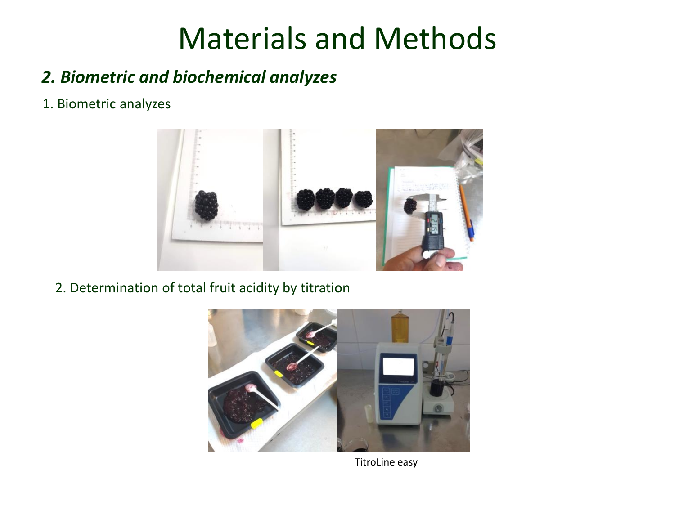## *2. Biometric and biochemical analyzes*

1. Biometric analyzes



2. Determination of total fruit acidity by titration



TitroLine easy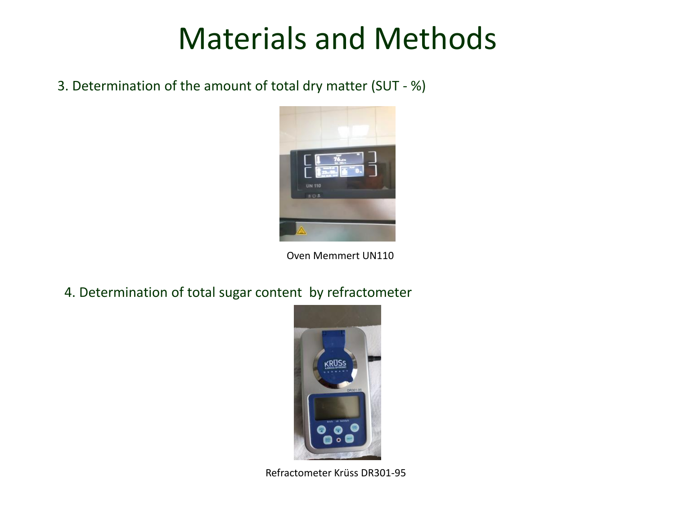3. Determination of the amount of total dry matter (SUT - %)



Oven Memmert UN110

4. Determination of total sugar content by refractometer



Refractometer Krüss DR301-95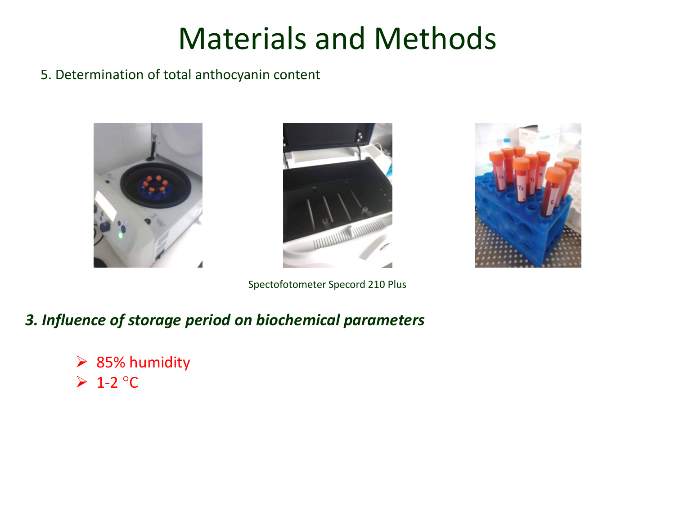#### 5. Determination of total anthocyanin content





Spectofotometer Specord 210 Plus



### *3. Influence of storage period on biochemical parameters*

 $\geq$  85% humidity  $\triangleright$  1-2 °C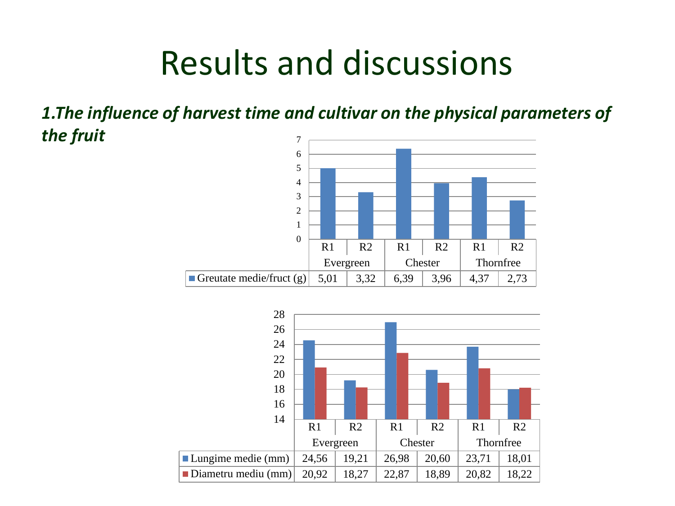# Results and discussions

*1.The influence of harvest time and cultivar on the physical parameters of the fruit* 



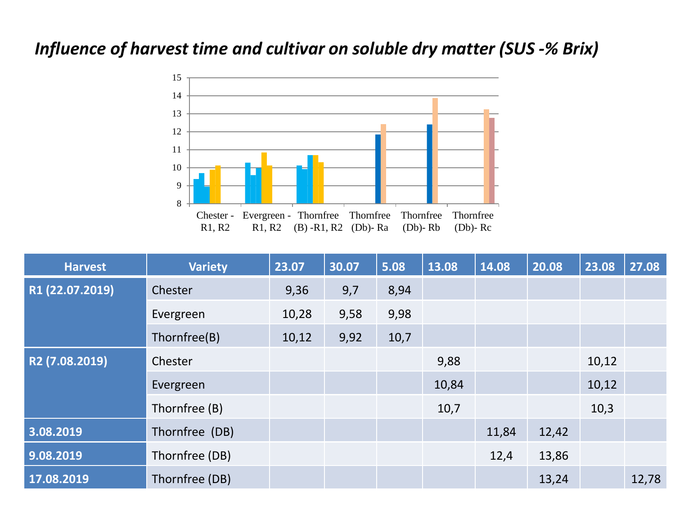### *Influence of harvest time and cultivar on soluble dry matter (SUS -% Brix)*



| <b>Harvest</b>  | <b>Variety</b> | 23.07 | 30.07 | 5.08 | 13.08 | 14.08 | 20.08 | 23.08 | 27.08 |
|-----------------|----------------|-------|-------|------|-------|-------|-------|-------|-------|
| R1 (22.07.2019) | Chester        | 9,36  | 9,7   | 8,94 |       |       |       |       |       |
|                 | Evergreen      | 10,28 | 9,58  | 9,98 |       |       |       |       |       |
|                 | Thornfree(B)   | 10,12 | 9,92  | 10,7 |       |       |       |       |       |
| R2 (7.08.2019)  | Chester        |       |       |      | 9,88  |       |       | 10,12 |       |
|                 | Evergreen      |       |       |      | 10,84 |       |       | 10,12 |       |
|                 | Thornfree (B)  |       |       |      | 10,7  |       |       | 10,3  |       |
| 3.08.2019       | Thornfree (DB) |       |       |      |       | 11,84 | 12,42 |       |       |
| 9.08.2019       | Thornfree (DB) |       |       |      |       | 12,4  | 13,86 |       |       |
| 17.08.2019      | Thornfree (DB) |       |       |      |       |       | 13,24 |       | 12,78 |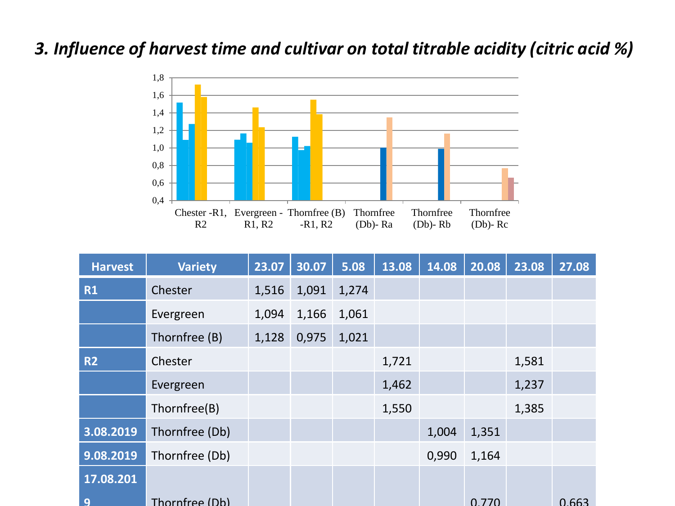### *3. Influence of harvest time and cultivar on total titrable acidity (citric acid %)*



| <b>Harvest</b> | <b>Variety</b> | 23.07 | 30.07 | 5.08  | 13.08 | 14.08 | 20.08 | 23.08 | 27.08 |
|----------------|----------------|-------|-------|-------|-------|-------|-------|-------|-------|
| <b>R1</b>      | Chester        | 1,516 | 1,091 | 1,274 |       |       |       |       |       |
|                | Evergreen      | 1,094 | 1,166 | 1,061 |       |       |       |       |       |
|                | Thornfree (B)  | 1,128 | 0,975 | 1,021 |       |       |       |       |       |
| <b>R2</b>      | Chester        |       |       |       | 1,721 |       |       | 1,581 |       |
|                | Evergreen      |       |       |       | 1,462 |       |       | 1,237 |       |
|                | Thornfree(B)   |       |       |       | 1,550 |       |       | 1,385 |       |
| 3.08.2019      | Thornfree (Db) |       |       |       |       | 1,004 | 1,351 |       |       |
| 9.08.2019      | Thornfree (Db) |       |       |       |       | 0,990 | 1,164 |       |       |
| 17.08.201      |                |       |       |       |       |       |       |       |       |
| q              | Thornfree (Db) |       |       |       |       |       | 0.770 |       | 0.663 |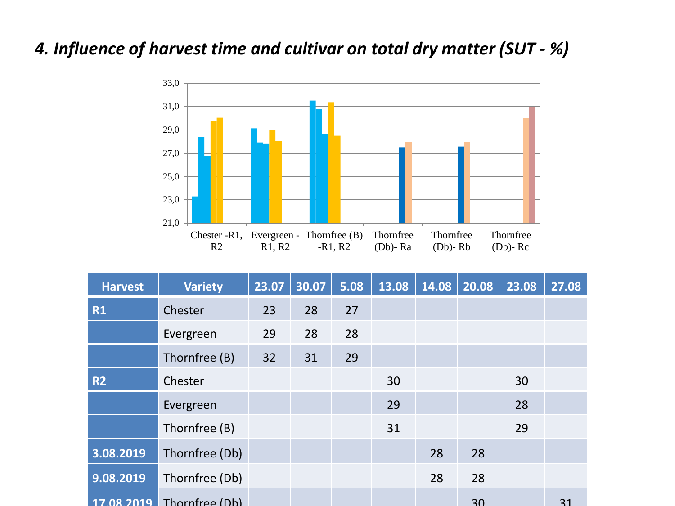### *4. Influence of harvest time and cultivar on total dry matter (SUT - %)*



| <b>Harvest</b> | <b>Variety</b>            | 23.07 | 30.07 | 5.08 | 13.08 | 14.08 | 20.08 | 23.08 | 27.08 |
|----------------|---------------------------|-------|-------|------|-------|-------|-------|-------|-------|
| <b>R1</b>      | Chester                   | 23    | 28    | 27   |       |       |       |       |       |
|                | Evergreen                 | 29    | 28    | 28   |       |       |       |       |       |
|                | Thornfree (B)             | 32    | 31    | 29   |       |       |       |       |       |
| <b>R2</b>      | Chester                   |       |       |      | 30    |       |       | 30    |       |
|                | Evergreen                 |       |       |      | 29    |       |       | 28    |       |
|                | Thornfree (B)             |       |       |      | 31    |       |       | 29    |       |
| 3.08.2019      | Thornfree (Db)            |       |       |      |       | 28    | 28    |       |       |
| 9.08.2019      | Thornfree (Db)            |       |       |      |       | 28    | 28    |       |       |
|                | 17.08.2019 Thornfree (Db) |       |       |      |       |       | 30    |       | 31    |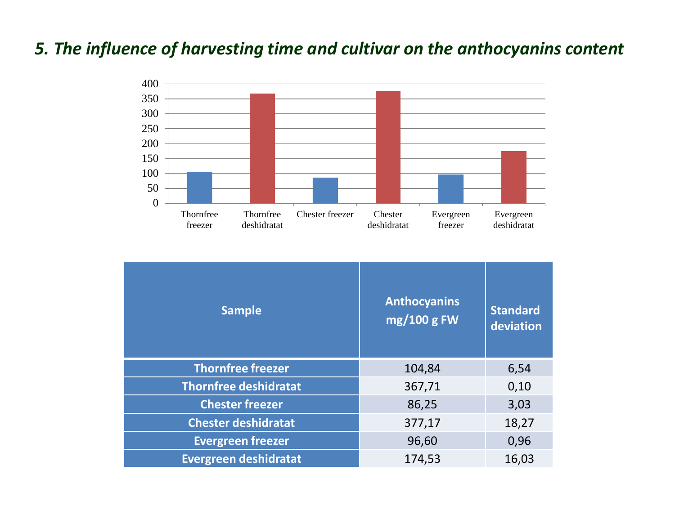### *5. The influence of harvesting time and cultivar on the anthocyanins content*



| <b>Sample</b>                | <b>Anthocyanins</b><br>mg/100 g FW | <b>Standard</b><br>deviation |
|------------------------------|------------------------------------|------------------------------|
| <b>Thornfree freezer</b>     | 104,84                             | 6,54                         |
| <b>Thornfree deshidratat</b> | 367,71                             | 0,10                         |
| <b>Chester freezer</b>       | 86,25                              | 3,03                         |
| <b>Chester deshidratat</b>   | 377,17                             | 18,27                        |
| <b>Evergreen freezer</b>     | 96,60                              | 0,96                         |
| <b>Evergreen deshidratat</b> | 174,53                             | 16,03                        |